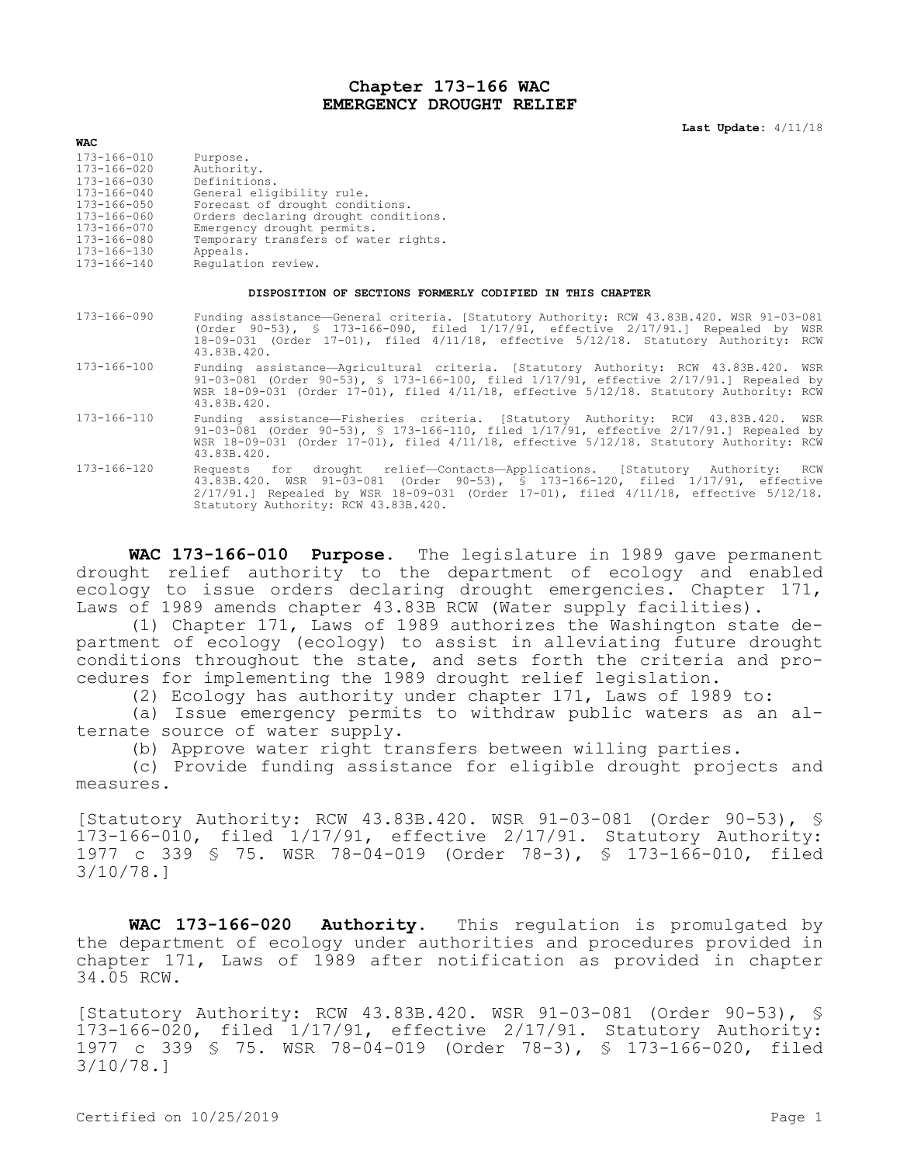## **Chapter 173-166 WAC EMERGENCY DROUGHT RELIEF**

**Last Update:** 4/11/18

| <b>WAC</b>  |                                      |
|-------------|--------------------------------------|
| 173-166-010 | Purpose.                             |
| 173-166-020 | Authority.                           |
| 173-166-030 | Definitions.                         |
| 173-166-040 | General eligibility rule.            |
| 173-166-050 | Forecast of drought conditions.      |
| 173-166-060 | Orders declaring drought conditions. |
| 173-166-070 | Emergency drought permits.           |
| 173-166-080 | Temporary transfers of water rights. |
| 173-166-130 | Appeals.                             |
| 173-166-140 | Requlation review.                   |

## **DISPOSITION OF SECTIONS FORMERLY CODIFIED IN THIS CHAPTER**

- 173-166-090 Funding assistance—General criteria. [Statutory Authority: RCW 43.83B.420. WSR 91-03-081 (Order 90-53), § 173-166-090, filed 1/17/91, effective 2/17/91.] Repealed by WSR 18-09-031 (Order 17-01), filed 4/11/18, effective 5/12/18. Statutory Authority: RCW 43.83B.420.
- 173-166-100 Funding assistance—Agricultural criteria. [Statutory Authority: RCW 43.83B.420. WSR 91-03-081 (Order 90-53), § 173-166-100, filed 1/17/91, effective 2/17/91.] Repealed by WSR 18-09-031 (Order 17-01), filed 4/11/18, effective 5/12/18. Statutory Authority: RCW 43.83B.420.
- 173-166-110 Funding assistance—Fisheries criteria. [Statutory Authority: RCW 43.83B.420. WSR 91-03-081 (Order 90-53), § 173-166-110, filed 1/17/91, effective 2/17/91.] Repealed by WSR 18-09-031 (Order 17-01), filed 4/11/18, effective 5/12/18. Statutory Authority: RCW 43.83B.420.
- 173-166-120 Requests for drought relief—Contacts—Applications. [Statutory Authority: RCW 43.83B.420. WSR 91-03-081 (Order 90-53), § 173-166-120, filed 1/17/91, effective 2/17/91.] Repealed by WSR 18-09-031 (Order 17-01), filed 4/11/18, effective 5/12/18. Statutory Authority: RCW 43.83B.420.

**WAC 173-166-010 Purpose.** The legislature in 1989 gave permanent drought relief authority to the department of ecology and enabled ecology to issue orders declaring drought emergencies. Chapter 171, Laws of 1989 amends chapter 43.83B RCW (Water supply facilities).

(1) Chapter 171, Laws of 1989 authorizes the Washington state department of ecology (ecology) to assist in alleviating future drought conditions throughout the state, and sets forth the criteria and procedures for implementing the 1989 drought relief legislation.

(2) Ecology has authority under chapter 171, Laws of 1989 to:

(a) Issue emergency permits to withdraw public waters as an alternate source of water supply.

(b) Approve water right transfers between willing parties.

(c) Provide funding assistance for eligible drought projects and measures.

[Statutory Authority: RCW 43.83B.420. WSR 91-03-081 (Order 90-53), § 173-166-010, filed 1/17/91, effective 2/17/91. Statutory Authority: 1977 c 339 § 75. WSR 78-04-019 (Order 78-3), § 173-166-010, filed 3/10/78.]

**WAC 173-166-020 Authority.** This regulation is promulgated by the department of ecology under authorities and procedures provided in chapter 171, Laws of 1989 after notification as provided in chapter 34.05 RCW.

[Statutory Authority: RCW 43.83B.420. WSR 91-03-081 (Order 90-53), § 173-166-020, filed 1/17/91, effective 2/17/91. Statutory Authority: 1977 c 339 § 75. WSR 78-04-019 (Order 78-3), § 173-166-020, filed 3/10/78.]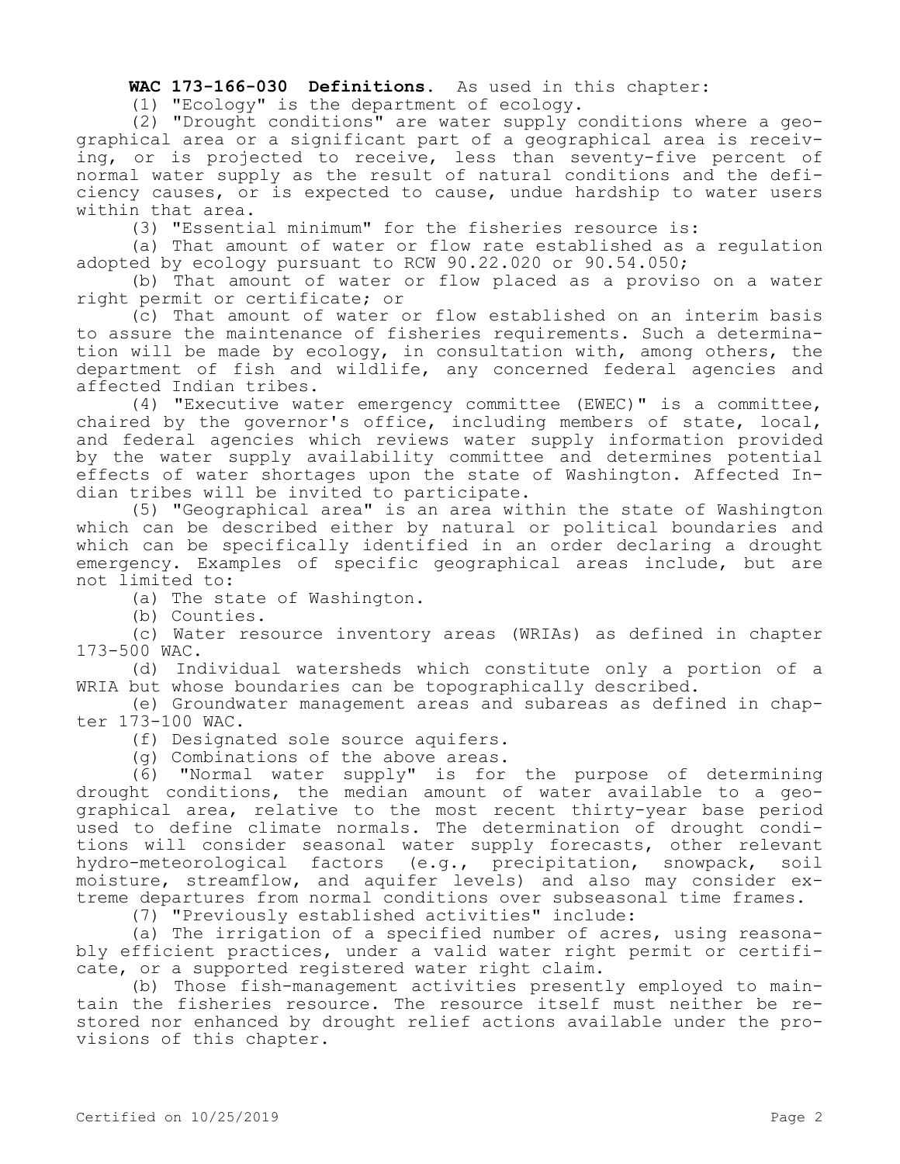## **WAC 173-166-030 Definitions.** As used in this chapter:

(1) "Ecology" is the department of ecology.

(2) "Drought conditions" are water supply conditions where a geographical area or a significant part of a geographical area is receiving, or is projected to receive, less than seventy-five percent of normal water supply as the result of natural conditions and the deficiency causes, or is expected to cause, undue hardship to water users within that area.

(3) "Essential minimum" for the fisheries resource is:

(a) That amount of water or flow rate established as a regulation adopted by ecology pursuant to RCW 90.22.020 or 90.54.050;

(b) That amount of water or flow placed as a proviso on a water right permit or certificate; or

(c) That amount of water or flow established on an interim basis to assure the maintenance of fisheries requirements. Such a determination will be made by ecology, in consultation with, among others, the department of fish and wildlife, any concerned federal agencies and affected Indian tribes.

(4) "Executive water emergency committee (EWEC)" is a committee, chaired by the governor's office, including members of state, local, and federal agencies which reviews water supply information provided by the water supply availability committee and determines potential effects of water shortages upon the state of Washington. Affected Indian tribes will be invited to participate.

(5) "Geographical area" is an area within the state of Washington which can be described either by natural or political boundaries and which can be specifically identified in an order declaring a drought emergency. Examples of specific geographical areas include, but are not limited to:

(a) The state of Washington.

(b) Counties.

(c) Water resource inventory areas (WRIAs) as defined in chapter 173-500 WAC.

(d) Individual watersheds which constitute only a portion of a WRIA but whose boundaries can be topographically described.

(e) Groundwater management areas and subareas as defined in chapter 173-100 WAC.

(f) Designated sole source aquifers.

(g) Combinations of the above areas.

(6) "Normal water supply" is for the purpose of determining drought conditions, the median amount of water available to a geographical area, relative to the most recent thirty-year base period used to define climate normals. The determination of drought conditions will consider seasonal water supply forecasts, other relevant hydro-meteorological factors (e.g., precipitation, snowpack, soil moisture, streamflow, and aquifer levels) and also may consider extreme departures from normal conditions over subseasonal time frames.

(7) "Previously established activities" include:

(a) The irrigation of a specified number of acres, using reasonably efficient practices, under a valid water right permit or certificate, or a supported registered water right claim.

(b) Those fish-management activities presently employed to maintain the fisheries resource. The resource itself must neither be restored nor enhanced by drought relief actions available under the provisions of this chapter.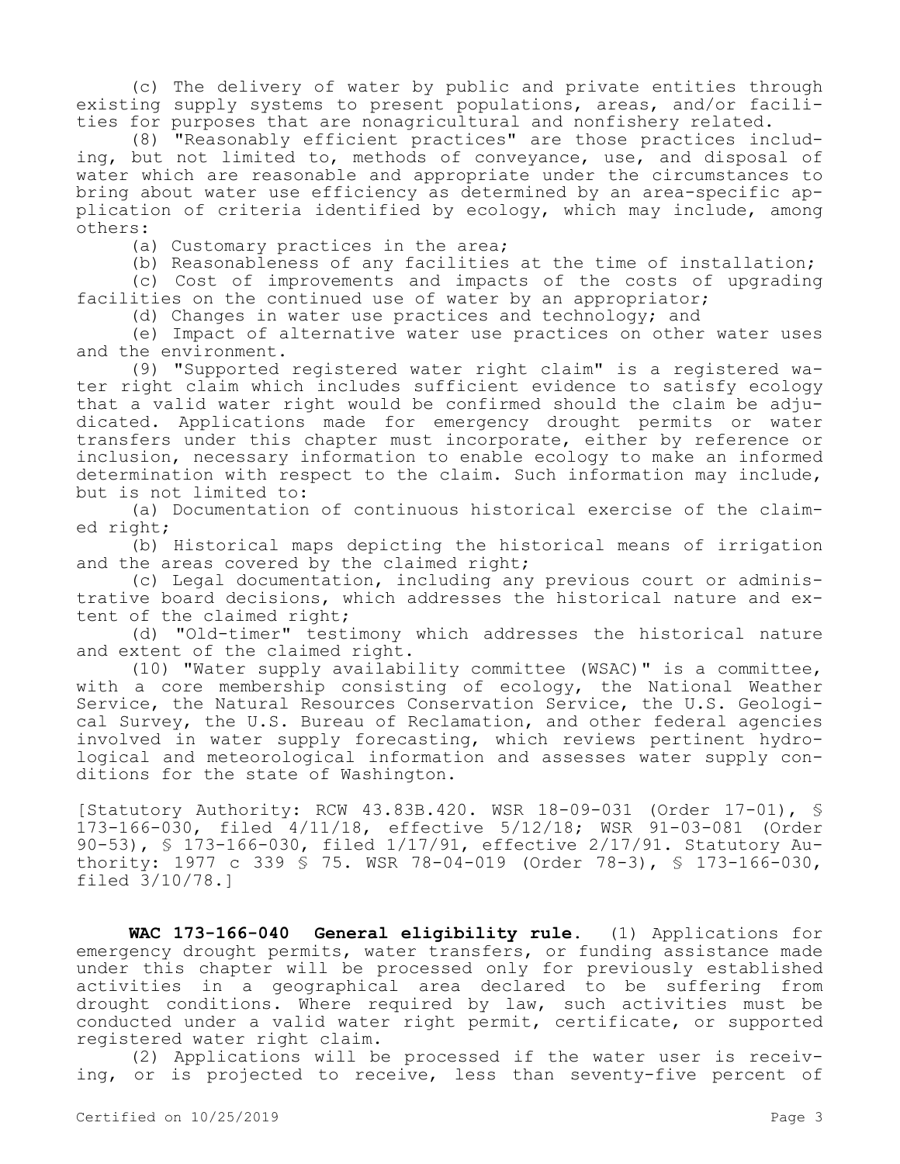(c) The delivery of water by public and private entities through existing supply systems to present populations, areas, and/or facilities for purposes that are nonagricultural and nonfishery related.

(8) "Reasonably efficient practices" are those practices including, but not limited to, methods of conveyance, use, and disposal of water which are reasonable and appropriate under the circumstances to bring about water use efficiency as determined by an area-specific application of criteria identified by ecology, which may include, among others:

(a) Customary practices in the area;

(b) Reasonableness of any facilities at the time of installation;

(c) Cost of improvements and impacts of the costs of upgrading facilities on the continued use of water by an appropriator;

(d) Changes in water use practices and technology; and

(e) Impact of alternative water use practices on other water uses and the environment.

(9) "Supported registered water right claim" is a registered water right claim which includes sufficient evidence to satisfy ecology that a valid water right would be confirmed should the claim be adjudicated. Applications made for emergency drought permits or water transfers under this chapter must incorporate, either by reference or inclusion, necessary information to enable ecology to make an informed determination with respect to the claim. Such information may include, but is not limited to:

(a) Documentation of continuous historical exercise of the claimed right;

(b) Historical maps depicting the historical means of irrigation and the areas covered by the claimed right;

(c) Legal documentation, including any previous court or administrative board decisions, which addresses the historical nature and extent of the claimed right;

(d) "Old-timer" testimony which addresses the historical nature and extent of the claimed right.

(10) "Water supply availability committee (WSAC)" is a committee, with a core membership consisting of ecology, the National Weather Service, the Natural Resources Conservation Service, the U.S. Geological Survey, the U.S. Bureau of Reclamation, and other federal agencies involved in water supply forecasting, which reviews pertinent hydrological and meteorological information and assesses water supply conditions for the state of Washington.

[Statutory Authority: RCW 43.83B.420. WSR 18-09-031 (Order 17-01), § 173-166-030, filed 4/11/18, effective 5/12/18; WSR 91-03-081 (Order 90-53), § 173-166-030, filed 1/17/91, effective 2/17/91. Statutory Authority: 1977 c 339 § 75. WSR 78-04-019 (Order 78-3), § 173-166-030, filed 3/10/78.]

**WAC 173-166-040 General eligibility rule.** (1) Applications for emergency drought permits, water transfers, or funding assistance made under this chapter will be processed only for previously established activities in a geographical area declared to be suffering from drought conditions. Where required by law, such activities must be conducted under a valid water right permit, certificate, or supported registered water right claim.

(2) Applications will be processed if the water user is receiving, or is projected to receive, less than seventy-five percent of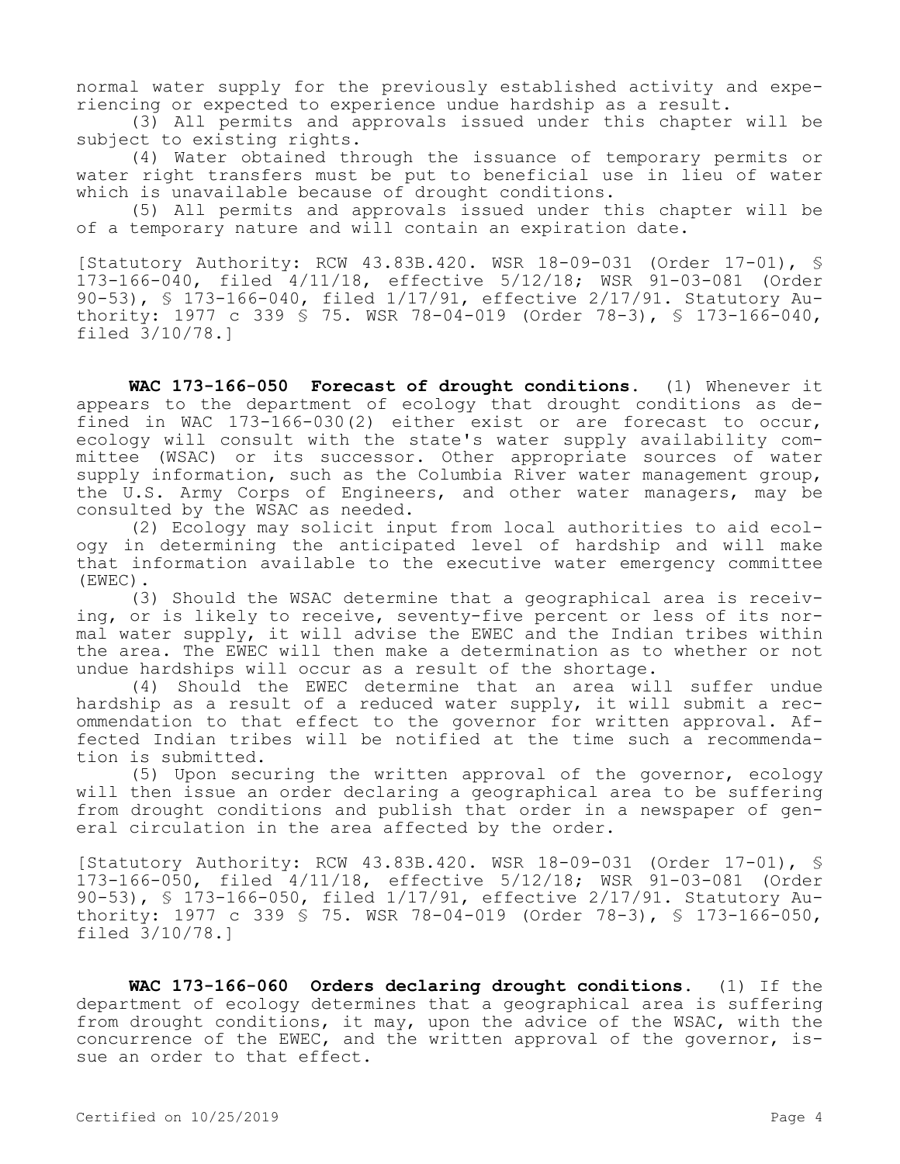normal water supply for the previously established activity and experiencing or expected to experience undue hardship as a result.

(3) All permits and approvals issued under this chapter will be subject to existing rights.

(4) Water obtained through the issuance of temporary permits or water right transfers must be put to beneficial use in lieu of water which is unavailable because of drought conditions.

(5) All permits and approvals issued under this chapter will be of a temporary nature and will contain an expiration date.

[Statutory Authority: RCW 43.83B.420. WSR 18-09-031 (Order 17-01), § 173-166-040, filed 4/11/18, effective 5/12/18; WSR 91-03-081 (Order 90-53), § 173-166-040, filed 1/17/91, effective 2/17/91. Statutory Authority: 1977 c 339 § 75. WSR 78-04-019 (Order 78-3), § 173-166-040, filed 3/10/78.]

**WAC 173-166-050 Forecast of drought conditions.** (1) Whenever it appears to the department of ecology that drought conditions as defined in WAC 173-166-030(2) either exist or are forecast to occur, ecology will consult with the state's water supply availability committee (WSAC) or its successor. Other appropriate sources of water supply information, such as the Columbia River water management group, the U.S. Army Corps of Engineers, and other water managers, may be consulted by the WSAC as needed.

(2) Ecology may solicit input from local authorities to aid ecology in determining the anticipated level of hardship and will make that information available to the executive water emergency committee (EWEC).

(3) Should the WSAC determine that a geographical area is receiving, or is likely to receive, seventy-five percent or less of its normal water supply, it will advise the EWEC and the Indian tribes within the area. The EWEC will then make a determination as to whether or not undue hardships will occur as a result of the shortage.

(4) Should the EWEC determine that an area will suffer undue hardship as a result of a reduced water supply, it will submit a recommendation to that effect to the governor for written approval. Affected Indian tribes will be notified at the time such a recommendation is submitted.

(5) Upon securing the written approval of the governor, ecology will then issue an order declaring a geographical area to be suffering from drought conditions and publish that order in a newspaper of general circulation in the area affected by the order.

[Statutory Authority: RCW 43.83B.420. WSR 18-09-031 (Order 17-01), § 173-166-050, filed 4/11/18, effective 5/12/18; WSR 91-03-081 (Order 90-53), § 173-166-050, filed 1/17/91, effective 2/17/91. Statutory Authority: 1977 c 339 § 75. WSR 78-04-019 (Order 78-3), § 173-166-050, filed 3/10/78.]

**WAC 173-166-060 Orders declaring drought conditions.** (1) If the department of ecology determines that a geographical area is suffering from drought conditions, it may, upon the advice of the WSAC, with the concurrence of the EWEC, and the written approval of the governor, issue an order to that effect.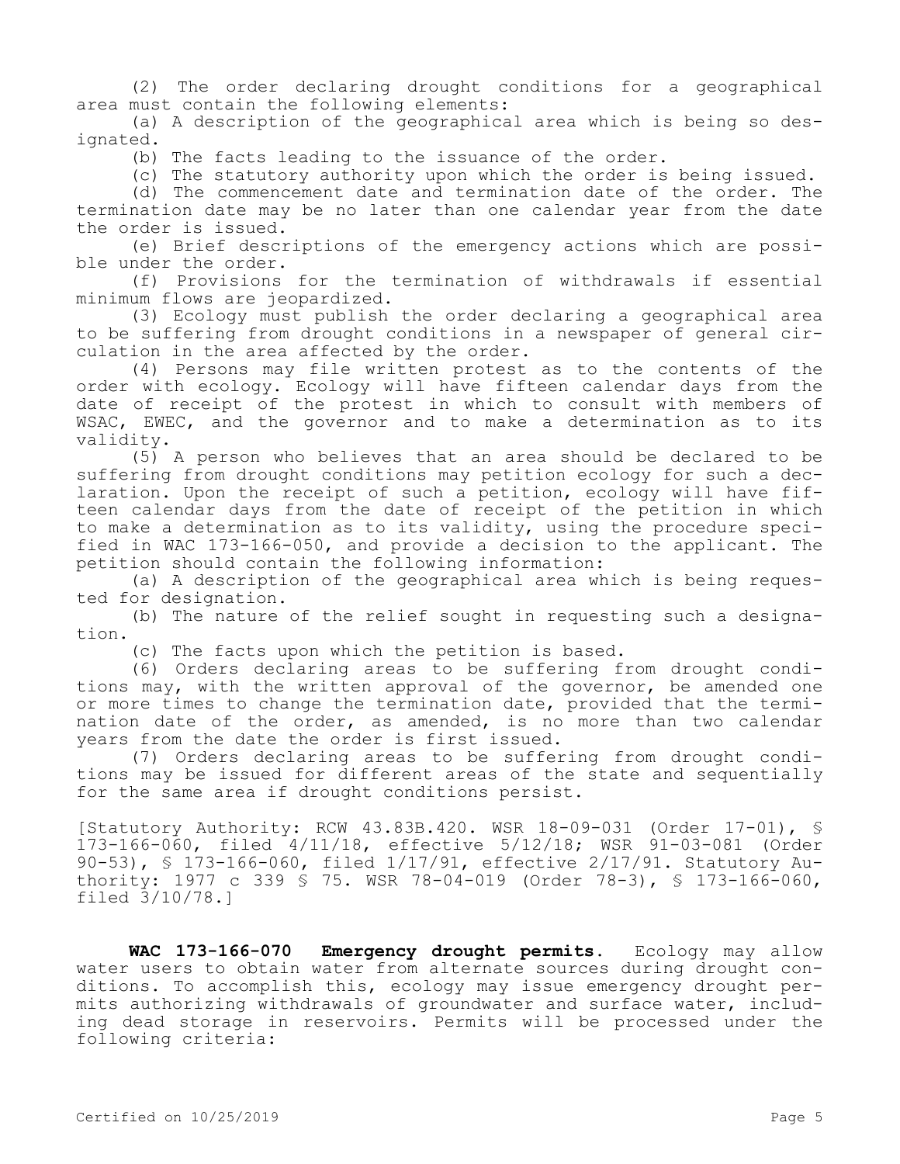(2) The order declaring drought conditions for a geographical area must contain the following elements:

(a) A description of the geographical area which is being so designated.

(b) The facts leading to the issuance of the order.

(c) The statutory authority upon which the order is being issued.

(d) The commencement date and termination date of the order. The termination date may be no later than one calendar year from the date the order is issued.

(e) Brief descriptions of the emergency actions which are possible under the order.

(f) Provisions for the termination of withdrawals if essential minimum flows are jeopardized.

(3) Ecology must publish the order declaring a geographical area to be suffering from drought conditions in a newspaper of general circulation in the area affected by the order.

(4) Persons may file written protest as to the contents of the order with ecology. Ecology will have fifteen calendar days from the date of receipt of the protest in which to consult with members of WSAC, EWEC, and the governor and to make a determination as to its validity.

(5) A person who believes that an area should be declared to be suffering from drought conditions may petition ecology for such a declaration. Upon the receipt of such a petition, ecology will have fifteen calendar days from the date of receipt of the petition in which to make a determination as to its validity, using the procedure specified in WAC 173-166-050, and provide a decision to the applicant. The petition should contain the following information:

(a) A description of the geographical area which is being requested for designation.

(b) The nature of the relief sought in requesting such a designation.

(c) The facts upon which the petition is based.

(6) Orders declaring areas to be suffering from drought conditions may, with the written approval of the governor, be amended one or more times to change the termination date, provided that the termination date of the order, as amended, is no more than two calendar years from the date the order is first issued.

(7) Orders declaring areas to be suffering from drought conditions may be issued for different areas of the state and sequentially for the same area if drought conditions persist.

[Statutory Authority: RCW 43.83B.420. WSR 18-09-031 (Order 17-01), § 173-166-060, filed 4/11/18, effective 5/12/18; WSR 91-03-081 (Order 90-53), § 173-166-060, filed 1/17/91, effective 2/17/91. Statutory Authority: 1977 c 339 § 75. WSR 78-04-019 (Order 78-3), § 173-166-060, filed 3/10/78.]

**WAC 173-166-070 Emergency drought permits.** Ecology may allow water users to obtain water from alternate sources during drought conditions. To accomplish this, ecology may issue emergency drought permits authorizing withdrawals of groundwater and surface water, including dead storage in reservoirs. Permits will be processed under the following criteria: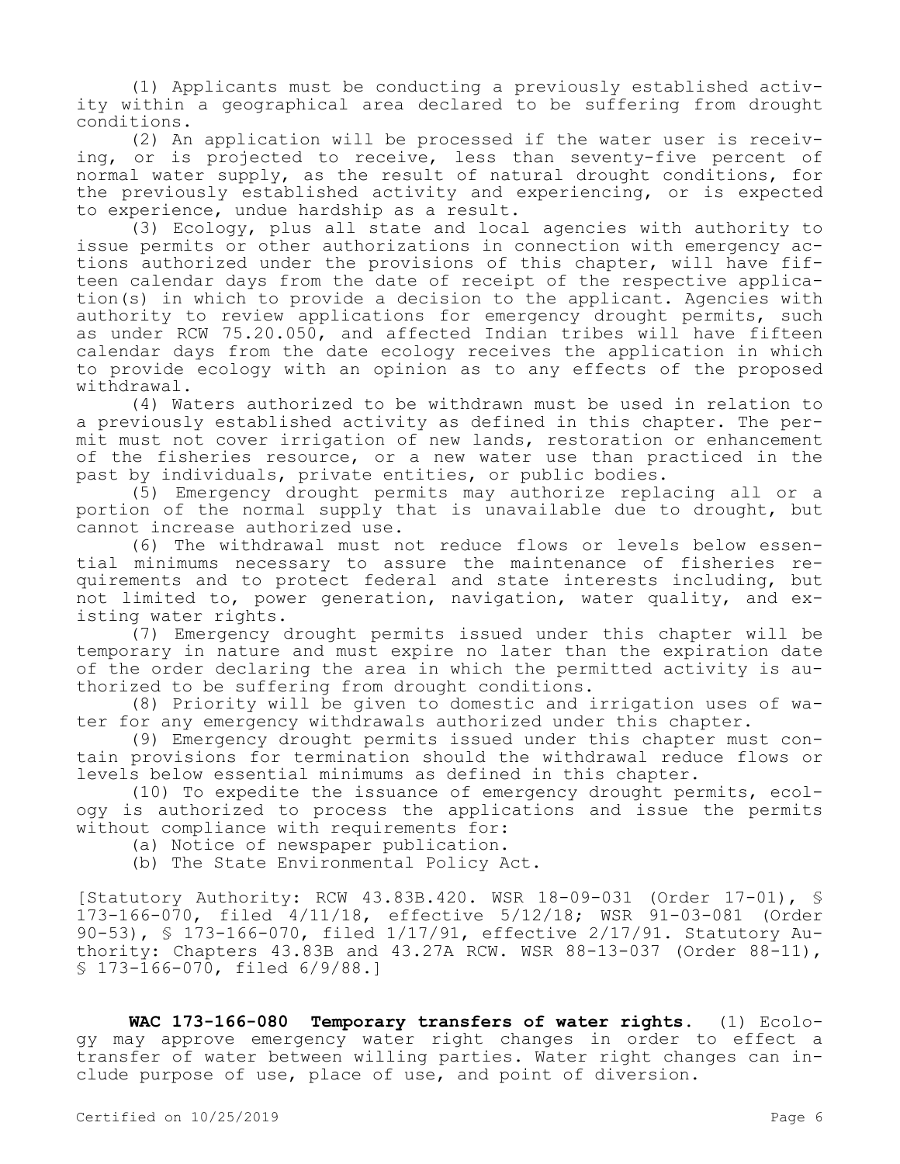(1) Applicants must be conducting a previously established activity within a geographical area declared to be suffering from drought conditions.

(2) An application will be processed if the water user is receiving, or is projected to receive, less than seventy-five percent of normal water supply, as the result of natural drought conditions, for the previously established activity and experiencing, or is expected to experience, undue hardship as a result.

(3) Ecology, plus all state and local agencies with authority to issue permits or other authorizations in connection with emergency actions authorized under the provisions of this chapter, will have fifteen calendar days from the date of receipt of the respective application(s) in which to provide a decision to the applicant. Agencies with authority to review applications for emergency drought permits, such as under RCW 75.20.050, and affected Indian tribes will have fifteen calendar days from the date ecology receives the application in which to provide ecology with an opinion as to any effects of the proposed withdrawal.

(4) Waters authorized to be withdrawn must be used in relation to a previously established activity as defined in this chapter. The permit must not cover irrigation of new lands, restoration or enhancement of the fisheries resource, or a new water use than practiced in the past by individuals, private entities, or public bodies.

(5) Emergency drought permits may authorize replacing all or a portion of the normal supply that is unavailable due to drought, but cannot increase authorized use.

(6) The withdrawal must not reduce flows or levels below essential minimums necessary to assure the maintenance of fisheries requirements and to protect federal and state interests including, but not limited to, power generation, navigation, water quality, and existing water rights.

(7) Emergency drought permits issued under this chapter will be temporary in nature and must expire no later than the expiration date of the order declaring the area in which the permitted activity is authorized to be suffering from drought conditions.

(8) Priority will be given to domestic and irrigation uses of water for any emergency withdrawals authorized under this chapter.

(9) Emergency drought permits issued under this chapter must contain provisions for termination should the withdrawal reduce flows or levels below essential minimums as defined in this chapter.

(10) To expedite the issuance of emergency drought permits, ecology is authorized to process the applications and issue the permits without compliance with requirements for:

(a) Notice of newspaper publication.

(b) The State Environmental Policy Act.

[Statutory Authority: RCW 43.83B.420. WSR 18-09-031 (Order 17-01), § 173-166-070, filed 4/11/18, effective 5/12/18; WSR 91-03-081 (Order 90-53), § 173-166-070, filed 1/17/91, effective 2/17/91. Statutory Authority: Chapters 43.83B and 43.27A RCW. WSR 88-13-037 (Order 88-11), § 173-166-070, filed 6/9/88.]

**WAC 173-166-080 Temporary transfers of water rights.** (1) Ecology may approve emergency water right changes in order to effect a transfer of water between willing parties. Water right changes can include purpose of use, place of use, and point of diversion.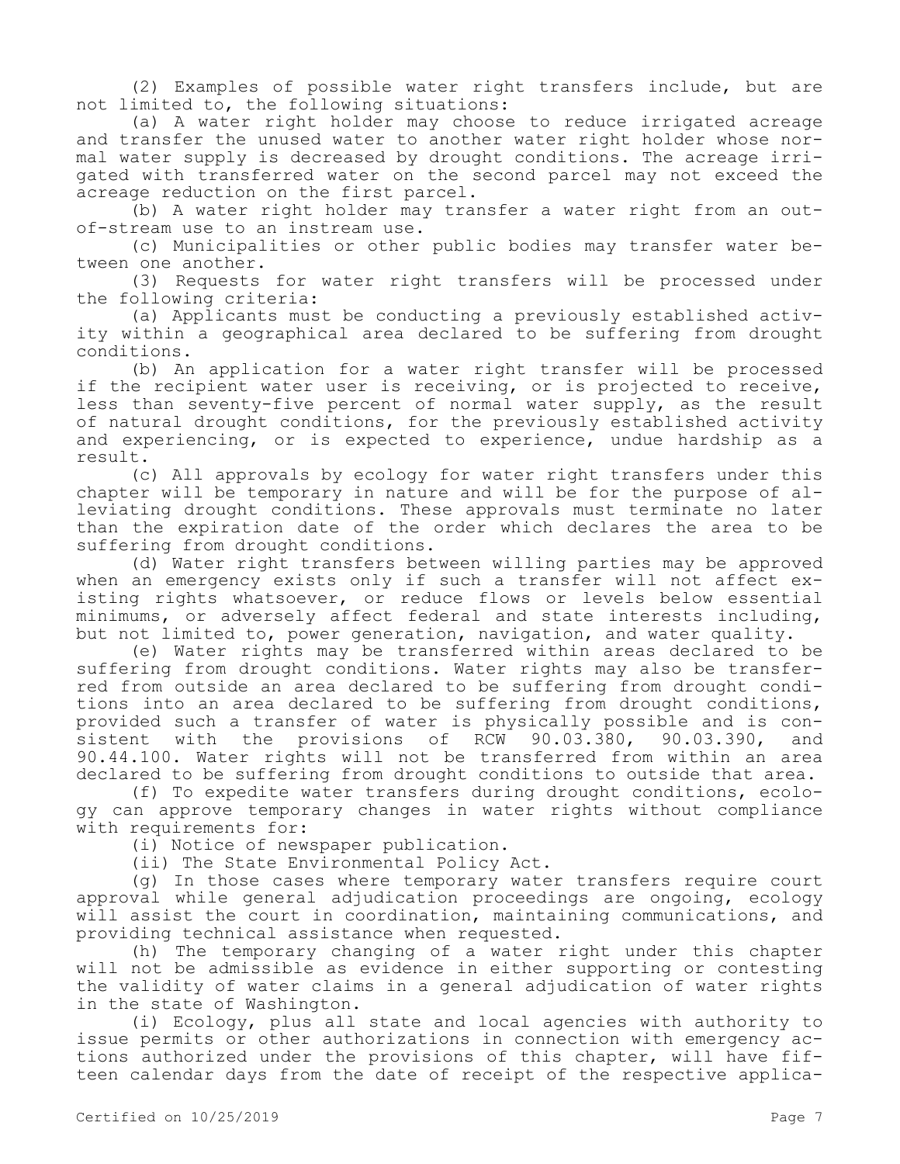(2) Examples of possible water right transfers include, but are not limited to, the following situations:

(a) A water right holder may choose to reduce irrigated acreage and transfer the unused water to another water right holder whose normal water supply is decreased by drought conditions. The acreage irrigated with transferred water on the second parcel may not exceed the acreage reduction on the first parcel.

(b) A water right holder may transfer a water right from an outof-stream use to an instream use.

(c) Municipalities or other public bodies may transfer water between one another.

(3) Requests for water right transfers will be processed under the following criteria:

(a) Applicants must be conducting a previously established activity within a geographical area declared to be suffering from drought conditions.

(b) An application for a water right transfer will be processed if the recipient water user is receiving, or is projected to receive, less than seventy-five percent of normal water supply, as the result of natural drought conditions, for the previously established activity and experiencing, or is expected to experience, undue hardship as a result.

(c) All approvals by ecology for water right transfers under this chapter will be temporary in nature and will be for the purpose of alleviating drought conditions. These approvals must terminate no later than the expiration date of the order which declares the area to be suffering from drought conditions.

(d) Water right transfers between willing parties may be approved when an emergency exists only if such a transfer will not affect existing rights whatsoever, or reduce flows or levels below essential minimums, or adversely affect federal and state interests including, but not limited to, power generation, navigation, and water quality.

(e) Water rights may be transferred within areas declared to be suffering from drought conditions. Water rights may also be transferred from outside an area declared to be suffering from drought conditions into an area declared to be suffering from drought conditions, provided such a transfer of water is physically possible and is consistent with the provisions of RCW 90.03.380, 90.03.390, and 90.44.100. Water rights will not be transferred from within an area declared to be suffering from drought conditions to outside that area.

(f) To expedite water transfers during drought conditions, ecology can approve temporary changes in water rights without compliance with requirements for:

(i) Notice of newspaper publication.

(ii) The State Environmental Policy Act.

(g) In those cases where temporary water transfers require court approval while general adjudication proceedings are ongoing, ecology will assist the court in coordination, maintaining communications, and providing technical assistance when requested.

(h) The temporary changing of a water right under this chapter will not be admissible as evidence in either supporting or contesting the validity of water claims in a general adjudication of water rights in the state of Washington.

(i) Ecology, plus all state and local agencies with authority to issue permits or other authorizations in connection with emergency actions authorized under the provisions of this chapter, will have fifteen calendar days from the date of receipt of the respective applica